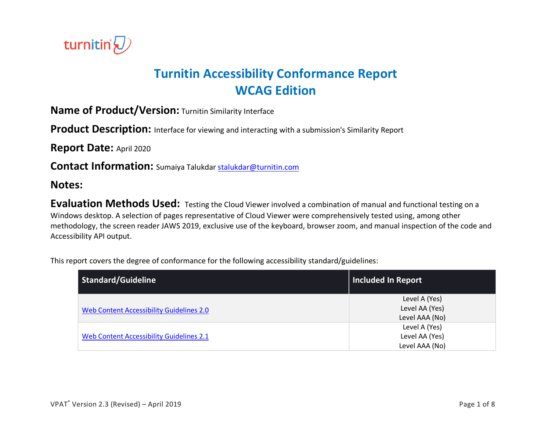

# **Turnitin Accessibility Conformance Report WCAG Edition**

**Name of Product/Version:** Turnitin Similarity Interface

Product Description: Interface for viewing and interacting with a submission's Similarity Report

**Report Date:** April 2020

**Contact Information:** Sumaiya Talukdar stalukdar@turnitin.com

#### **Notes:**

**Evaluation Methods Used:** Testing the Cloud Viewer involved a combination of manual and functional testing on a Windows desktop. A selection of pages representative of Cloud Viewer were comprehensively tested using, among other methodology, the screen reader JAWS 2019, exclusive use of the keyboard, browser zoom, and manual inspection of the code and Accessibility API output.

This report covers the degree of conformance for the following accessibility standard/guidelines:

| Standard/Guideline                       | <b>Included In Report</b> |
|------------------------------------------|---------------------------|
|                                          | Level A (Yes)             |
| Web Content Accessibility Guidelines 2.0 | Level AA (Yes)            |
|                                          | Level AAA (No)            |
|                                          | Level A (Yes)             |
| Web Content Accessibility Guidelines 2.1 | Level AA (Yes)            |
|                                          | Level AAA (No)            |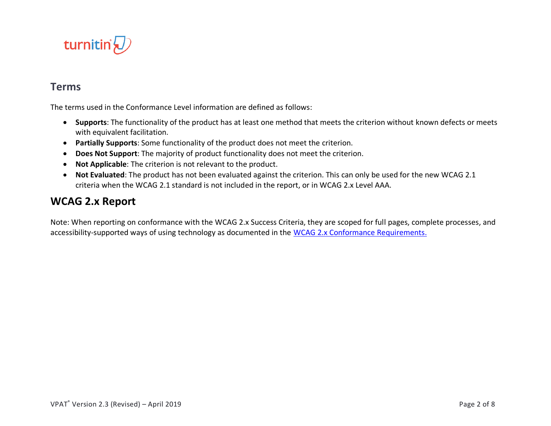

#### **Terms**

The terms used in the Conformance Level information are defined as follows:

- **Supports**: The functionality of the product has at least one method that meets the criterion without known defects or meets with equivalent facilitation.
- **Partially Supports**: Some functionality of the product does not meet the criterion.
- **Does Not Support**: The majority of product functionality does not meet the criterion.
- **Not Applicable**: The criterion is not relevant to the product.
- **Not Evaluated**: The product has not been evaluated against the criterion. This can only be used for the new WCAG 2.1 criteria when the WCAG 2.1 standard is not included in the report, or in WCAG 2.x Level AAA.

### **WCAG 2.x Report**

Note: When reporting on conformance with the WCAG 2.x Success Criteria, they are scoped for full pages, complete processes, and accessibility-supported ways of using technology as documented in the WCAG 2.x Conformance Requirements.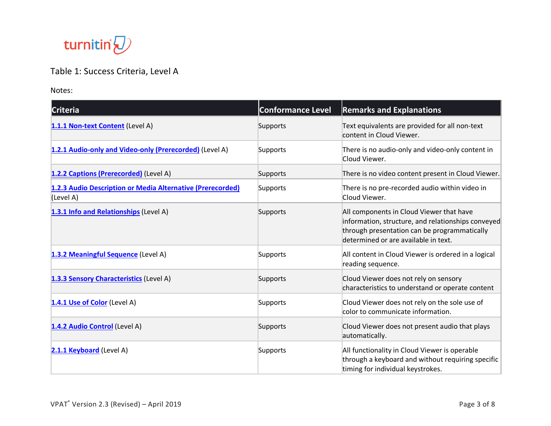

## Table 1: Success Criteria, Level A

Notes:

| <b>Criteria</b>                                                         | <b>Conformance Level</b> | <b>Remarks and Explanations</b>                                                                                                                                                        |
|-------------------------------------------------------------------------|--------------------------|----------------------------------------------------------------------------------------------------------------------------------------------------------------------------------------|
| 1.1.1 Non-text Content (Level A)                                        | Supports                 | Text equivalents are provided for all non-text<br>content in Cloud Viewer.                                                                                                             |
| 1.2.1 Audio-only and Video-only (Prerecorded) (Level A)                 | Supports                 | There is no audio-only and video-only content in<br>Cloud Viewer.                                                                                                                      |
| 1.2.2 Captions (Prerecorded) (Level A)                                  | Supports                 | There is no video content present in Cloud Viewer.                                                                                                                                     |
| 1.2.3 Audio Description or Media Alternative (Prerecorded)<br>(Level A) | Supports                 | There is no pre-recorded audio within video in<br>Cloud Viewer.                                                                                                                        |
| 1.3.1 Info and Relationships (Level A)                                  | Supports                 | All components in Cloud Viewer that have<br>information, structure, and relationships conveyed<br>through presentation can be programmatically<br>determined or are available in text. |
| 1.3.2 Meaningful Sequence (Level A)                                     | Supports                 | All content in Cloud Viewer is ordered in a logical<br>reading sequence.                                                                                                               |
| 1.3.3 Sensory Characteristics (Level A)                                 | Supports                 | Cloud Viewer does not rely on sensory<br>characteristics to understand or operate content                                                                                              |
| 1.4.1 Use of Color (Level A)                                            | Supports                 | Cloud Viewer does not rely on the sole use of<br>color to communicate information.                                                                                                     |
| 1.4.2 Audio Control (Level A)                                           | Supports                 | Cloud Viewer does not present audio that plays<br>automatically.                                                                                                                       |
| 2.1.1 Keyboard (Level A)                                                | Supports                 | All functionality in Cloud Viewer is operable<br>through a keyboard and without requiring specific<br>timing for individual keystrokes.                                                |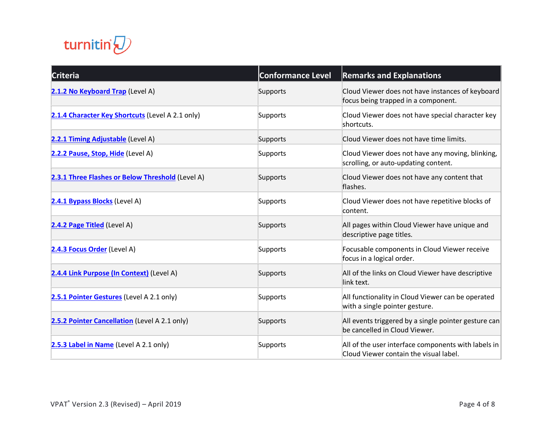

| <b>Criteria</b>                                  | <b>Conformance Level</b> | <b>Remarks and Explanations</b>                                                               |
|--------------------------------------------------|--------------------------|-----------------------------------------------------------------------------------------------|
| 2.1.2 No Keyboard Trap (Level A)                 | Supports                 | Cloud Viewer does not have instances of keyboard<br>focus being trapped in a component.       |
| 2.1.4 Character Key Shortcuts (Level A 2.1 only) | Supports                 | Cloud Viewer does not have special character key<br>shortcuts.                                |
| 2.2.1 Timing Adjustable (Level A)                | Supports                 | Cloud Viewer does not have time limits.                                                       |
| 2.2.2 Pause, Stop, Hide (Level A)                | Supports                 | Cloud Viewer does not have any moving, blinking,<br>scrolling, or auto-updating content.      |
| 2.3.1 Three Flashes or Below Threshold (Level A) | Supports                 | Cloud Viewer does not have any content that<br>flashes.                                       |
| 2.4.1 Bypass Blocks (Level A)                    | Supports                 | Cloud Viewer does not have repetitive blocks of<br>content.                                   |
| 2.4.2 Page Titled (Level A)                      | Supports                 | All pages within Cloud Viewer have unique and<br>descriptive page titles.                     |
| 2.4.3 Focus Order (Level A)                      | Supports                 | Focusable components in Cloud Viewer receive<br>focus in a logical order.                     |
| 2.4.4 Link Purpose (In Context) (Level A)        | Supports                 | All of the links on Cloud Viewer have descriptive<br>link text.                               |
| 2.5.1 Pointer Gestures (Level A 2.1 only)        | Supports                 | All functionality in Cloud Viewer can be operated<br>with a single pointer gesture.           |
| 2.5.2 Pointer Cancellation (Level A 2.1 only)    | Supports                 | All events triggered by a single pointer gesture can<br>be cancelled in Cloud Viewer.         |
| 2.5.3 Label in Name (Level A 2.1 only)           | Supports                 | All of the user interface components with labels in<br>Cloud Viewer contain the visual label. |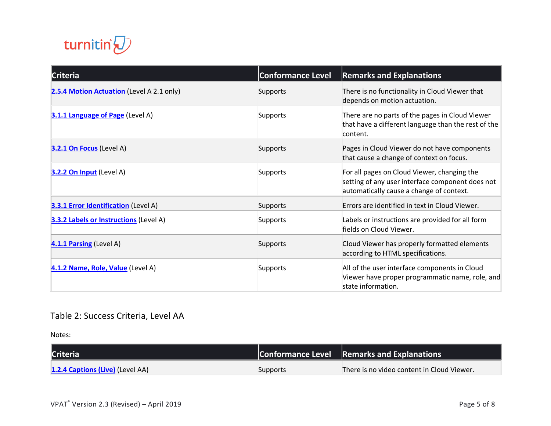

| <b>Criteria</b>                               | <b>Conformance Level</b> | <b>Remarks and Explanations</b>                                                                                                             |
|-----------------------------------------------|--------------------------|---------------------------------------------------------------------------------------------------------------------------------------------|
| 2.5.4 Motion Actuation (Level A 2.1 only)     | Supports                 | There is no functionality in Cloud Viewer that<br>depends on motion actuation.                                                              |
| 3.1.1 Language of Page (Level A)              | Supports                 | There are no parts of the pages in Cloud Viewer<br>that have a different language than the rest of the<br>content.                          |
| 3.2.1 On Focus (Level A)                      | Supports                 | Pages in Cloud Viewer do not have components<br>that cause a change of context on focus.                                                    |
| 3.2.2 On Input (Level A)                      | Supports                 | For all pages on Cloud Viewer, changing the<br>setting of any user interface component does not<br>automatically cause a change of context. |
| <b>3.3.1 Error Identification</b> (Level A)   | Supports                 | Errors are identified in text in Cloud Viewer.                                                                                              |
| <b>3.3.2 Labels or Instructions (Level A)</b> | Supports                 | Labels or instructions are provided for all form<br>fields on Cloud Viewer.                                                                 |
| 4.1.1 Parsing (Level A)                       | Supports                 | Cloud Viewer has properly formatted elements<br>according to HTML specifications.                                                           |
| 4.1.2 Name, Role, Value (Level A)             | Supports                 | All of the user interface components in Cloud<br>Viewer have proper programmatic name, role, and<br>state information.                      |

## Table 2: Success Criteria, Level AA

Notes:

| <b>Criteria</b>                  |          | <b>Conformance Level</b> Remarks and Explanations |
|----------------------------------|----------|---------------------------------------------------|
| 1.2.4 Captions (Live) (Level AA) | Supports | There is no video content in Cloud Viewer.        |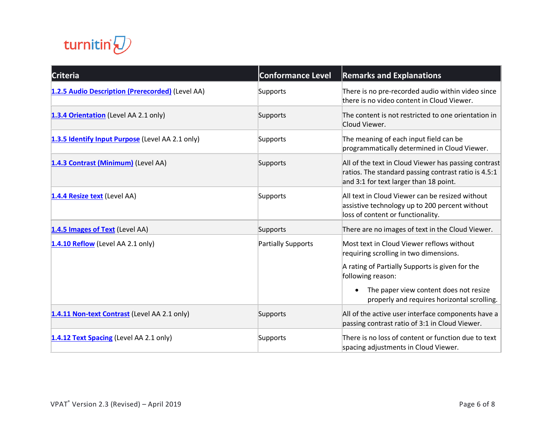

| <b>Criteria</b>                                  | <b>Conformance Level</b> | <b>Remarks and Explanations</b>                                                                                                                        |
|--------------------------------------------------|--------------------------|--------------------------------------------------------------------------------------------------------------------------------------------------------|
| 1.2.5 Audio Description (Prerecorded) (Level AA) | Supports                 | There is no pre-recorded audio within video since<br>there is no video content in Cloud Viewer.                                                        |
| 1.3.4 Orientation (Level AA 2.1 only)            | Supports                 | The content is not restricted to one orientation in<br>Cloud Viewer.                                                                                   |
| 1.3.5 Identify Input Purpose (Level AA 2.1 only) | Supports                 | The meaning of each input field can be<br>programmatically determined in Cloud Viewer.                                                                 |
| 1.4.3 Contrast (Minimum) (Level AA)              | Supports                 | All of the text in Cloud Viewer has passing contrast<br>ratios. The standard passing contrast ratio is 4.5:1<br>and 3:1 for text larger than 18 point. |
| 1.4.4 Resize text (Level AA)                     | Supports                 | All text in Cloud Viewer can be resized without<br>assistive technology up to 200 percent without<br>loss of content or functionality.                 |
| 1.4.5 Images of Text (Level AA)                  | Supports                 | There are no images of text in the Cloud Viewer.                                                                                                       |
| 1.4.10 Reflow (Level AA 2.1 only)                | Partially Supports       | Most text in Cloud Viewer reflows without<br>requiring scrolling in two dimensions.                                                                    |
|                                                  |                          | A rating of Partially Supports is given for the<br>following reason:                                                                                   |
|                                                  |                          | The paper view content does not resize<br>properly and requires horizontal scrolling.                                                                  |
| 1.4.11 Non-text Contrast (Level AA 2.1 only)     | Supports                 | All of the active user interface components have a<br>passing contrast ratio of 3:1 in Cloud Viewer.                                                   |
| 1.4.12 Text Spacing (Level AA 2.1 only)          | Supports                 | There is no loss of content or function due to text<br>spacing adjustments in Cloud Viewer.                                                            |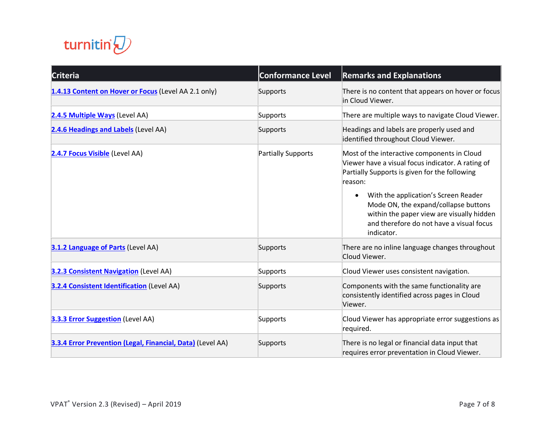

| <b>Criteria</b>                                            | <b>Conformance Level</b>  | <b>Remarks and Explanations</b>                                                                                                                                                                                                                                                                                                                                  |
|------------------------------------------------------------|---------------------------|------------------------------------------------------------------------------------------------------------------------------------------------------------------------------------------------------------------------------------------------------------------------------------------------------------------------------------------------------------------|
| 1.4.13 Content on Hover or Focus (Level AA 2.1 only)       | Supports                  | There is no content that appears on hover or focus<br>in Cloud Viewer.                                                                                                                                                                                                                                                                                           |
| 2.4.5 Multiple Ways (Level AA)                             | Supports                  | There are multiple ways to navigate Cloud Viewer.                                                                                                                                                                                                                                                                                                                |
| 2.4.6 Headings and Labels (Level AA)                       | Supports                  | Headings and labels are properly used and<br>identified throughout Cloud Viewer.                                                                                                                                                                                                                                                                                 |
| 2.4.7 Focus Visible (Level AA)                             | <b>Partially Supports</b> | Most of the interactive components in Cloud<br>Viewer have a visual focus indicator. A rating of<br>Partially Supports is given for the following<br>reason:<br>With the application's Screen Reader<br>$\bullet$<br>Mode ON, the expand/collapse buttons<br>within the paper view are visually hidden<br>and therefore do not have a visual focus<br>indicator. |
| 3.1.2 Language of Parts (Level AA)                         | Supports                  | There are no inline language changes throughout<br>Cloud Viewer.                                                                                                                                                                                                                                                                                                 |
| <b>3.2.3 Consistent Navigation (Level AA)</b>              | Supports                  | Cloud Viewer uses consistent navigation.                                                                                                                                                                                                                                                                                                                         |
| <b>3.2.4 Consistent Identification (Level AA)</b>          | Supports                  | Components with the same functionality are<br>consistently identified across pages in Cloud<br>Viewer.                                                                                                                                                                                                                                                           |
| <b>3.3.3 Error Suggestion</b> (Level AA)                   | Supports                  | Cloud Viewer has appropriate error suggestions as<br>required.                                                                                                                                                                                                                                                                                                   |
| 3.3.4 Error Prevention (Legal, Financial, Data) (Level AA) | Supports                  | There is no legal or financial data input that<br>requires error preventation in Cloud Viewer.                                                                                                                                                                                                                                                                   |